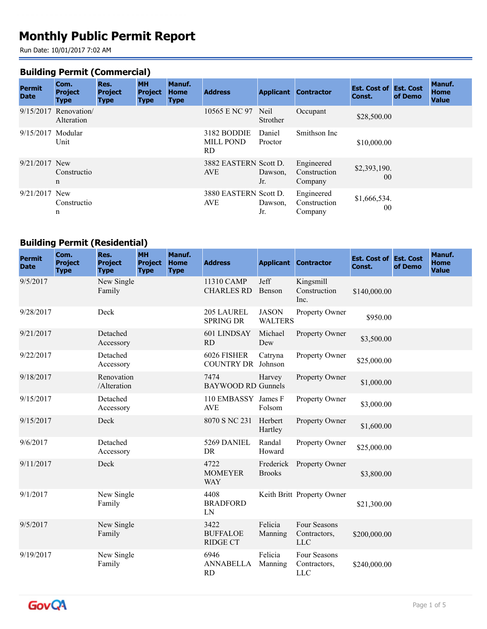# **Monthly Public Permit Report**

Run Date: 10/01/2017 7:02 AM

#### **Building Permit (Commercial)**

| <b>Permit</b><br><b>Date</b> | Com.<br><b>Project</b>               | Res.<br><b>Project</b> | <b>MH</b><br><b>Project</b> | Manuf.<br><b>Home</b> | <b>Address</b>                         | <b>Applicant</b>  | <b>Contractor</b>                     | <b>Est. Cost of Est. Cost</b><br>Const. | of Demo | <b>Manuf.</b><br>Home |
|------------------------------|--------------------------------------|------------------------|-----------------------------|-----------------------|----------------------------------------|-------------------|---------------------------------------|-----------------------------------------|---------|-----------------------|
|                              | <b>Type</b>                          | <b>Type</b>            | <b>Type</b>                 | <b>Type</b>           |                                        |                   |                                       |                                         |         | <b>Value</b>          |
|                              | $9/15/2017$ Renovation<br>Alteration |                        |                             |                       | 10565 E NC 97                          | Neil<br>Strother  | Occupant                              | \$28,500.00                             |         |                       |
| 9/15/2017                    | Modular<br>Unit                      |                        |                             |                       | 3182 BODDIE<br><b>MILL POND</b><br>RD. | Daniel<br>Proctor | Smithson Inc                          | \$10,000.00                             |         |                       |
| $9/21/2017$ New              | Constructio<br>$\mathbf n$           |                        |                             |                       | 3882 EASTERN Scott D.<br><b>AVE</b>    | Dawson,<br>Jr.    | Engineered<br>Construction<br>Company | \$2,393,190.<br>00                      |         |                       |
| $9/21/2017$ New              | Constructio<br>n                     |                        |                             |                       | 3880 EASTERN Scott D.<br><b>AVE</b>    | Dawson.<br>Jr.    | Engineered<br>Construction<br>Company | \$1,666,534.<br>0 <sup>0</sup>          |         |                       |

## **Building Permit (Residential)**

| <b>Permit</b><br><b>Date</b> | Com.<br><b>Project</b><br><b>Type</b> | Res.<br><b>Project</b><br><b>Type</b> | <b>MH</b><br><b>Project</b><br><b>Type</b> | Manuf.<br><b>Home</b><br><b>Type</b> | <b>Address</b>                             |                                | <b>Applicant Contractor</b>           | <b>Est. Cost of Est. Cost</b><br>Const. | of Demo | Manuf.<br><b>Home</b><br><b>Value</b> |
|------------------------------|---------------------------------------|---------------------------------------|--------------------------------------------|--------------------------------------|--------------------------------------------|--------------------------------|---------------------------------------|-----------------------------------------|---------|---------------------------------------|
| 9/5/2017                     |                                       | New Single<br>Family                  |                                            |                                      | 11310 CAMP<br><b>CHARLES RD</b>            | Jeff<br>Benson                 | Kingsmill<br>Construction<br>Inc.     | \$140,000.00                            |         |                                       |
| 9/28/2017                    |                                       | Deck                                  |                                            |                                      | 205 LAUREL<br><b>SPRING DR</b>             | <b>JASON</b><br><b>WALTERS</b> | Property Owner                        | \$950.00                                |         |                                       |
| 9/21/2017                    |                                       | Detached<br>Accessory                 |                                            |                                      | 601 LINDSAY<br><b>RD</b>                   | Michael<br>Dew                 | Property Owner                        | \$3,500.00                              |         |                                       |
| 9/22/2017                    |                                       | Detached<br>Accessory                 |                                            |                                      | 6026 FISHER<br><b>COUNTRY DR</b> Johnson   | Catryna                        | Property Owner                        | \$25,000.00                             |         |                                       |
| 9/18/2017                    |                                       | Renovation<br>/Alteration             |                                            |                                      | 7474<br><b>BAYWOOD RD Gunnels</b>          | Harvey                         | Property Owner                        | \$1,000.00                              |         |                                       |
| 9/15/2017                    |                                       | Detached<br>Accessory                 |                                            |                                      | 110 EMBASSY James F<br><b>AVE</b>          | Folsom                         | Property Owner                        | \$3,000.00                              |         |                                       |
| 9/15/2017                    |                                       | Deck                                  |                                            |                                      | 8070 S NC 231                              | Herbert<br>Hartley             | Property Owner                        | \$1,600.00                              |         |                                       |
| 9/6/2017                     |                                       | Detached<br>Accessory                 |                                            |                                      | 5269 DANIEL<br>DR                          | Randal<br>Howard               | Property Owner                        | \$25,000.00                             |         |                                       |
| 9/11/2017                    |                                       | Deck                                  |                                            |                                      | 4722<br><b>MOMEYER</b><br><b>WAY</b>       | Frederick<br><b>Brooks</b>     | Property Owner                        | \$3,800.00                              |         |                                       |
| 9/1/2017                     |                                       | New Single<br>Family                  |                                            |                                      | 4408<br><b>BRADFORD</b><br>LN              |                                | Keith Britt Property Owner            | \$21,300.00                             |         |                                       |
| 9/5/2017                     |                                       | New Single<br>Family                  |                                            |                                      | 3422<br><b>BUFFALOE</b><br><b>RIDGE CT</b> | Felicia<br>Manning             | Four Seasons<br>Contractors,<br>$LLC$ | \$200,000.00                            |         |                                       |
| 9/19/2017                    |                                       | New Single<br>Family                  |                                            |                                      | 6946<br><b>ANNABELLA</b><br><b>RD</b>      | Felicia<br>Manning             | Four Seasons<br>Contractors,<br>$LLC$ | \$240,000.00                            |         |                                       |

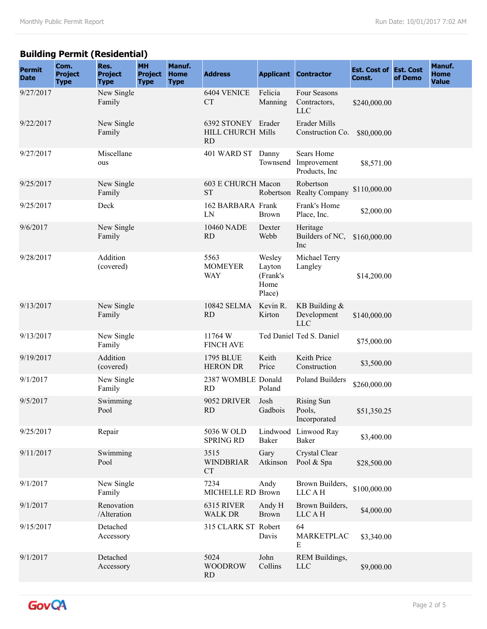## **Building Permit (Residential)**

| <b>Permit</b><br><b>Date</b> | Com.<br><b>Project</b><br><b>Type</b> | Res.<br><b>Project</b><br><b>Type</b> | <b>MH</b><br><b>Project</b><br><b>Type</b> | Manuf.<br><b>Home</b><br><b>Type</b> | <b>Address</b>                                       |                                                | <b>Applicant Contractor</b>                  | <b>Est. Cost of Est. Cost</b><br>Const. | of Demo | Manuf.<br><b>Home</b><br><b>Value</b> |
|------------------------------|---------------------------------------|---------------------------------------|--------------------------------------------|--------------------------------------|------------------------------------------------------|------------------------------------------------|----------------------------------------------|-----------------------------------------|---------|---------------------------------------|
| 9/27/2017                    |                                       | New Single<br>Family                  |                                            |                                      | 6404 VENICE<br><b>CT</b>                             | Felicia<br>Manning                             | Four Seasons<br>Contractors,<br><b>LLC</b>   | \$240,000.00                            |         |                                       |
| 9/22/2017                    |                                       | New Single<br>Family                  |                                            |                                      | 6392 STONEY Erader<br>HILL CHURCH Mills<br><b>RD</b> |                                                | Erader Mills<br>Construction Co.             | \$80,000.00                             |         |                                       |
| 9/27/2017                    |                                       | Miscellane<br>ous                     |                                            |                                      | 401 WARD ST                                          | Danny<br>Townsend                              | Sears Home<br>Improvement<br>Products, Inc   | \$8,571.00                              |         |                                       |
| 9/25/2017                    |                                       | New Single<br>Family                  |                                            |                                      | 603 E CHURCH Macon<br><b>ST</b>                      | Robertson                                      | Robertson<br><b>Realty Company</b>           | \$110,000.00                            |         |                                       |
| 9/25/2017                    |                                       | Deck                                  |                                            |                                      | 162 BARBARA Frank<br>LN                              | <b>Brown</b>                                   | Frank's Home<br>Place, Inc.                  | \$2,000.00                              |         |                                       |
| 9/6/2017                     |                                       | New Single<br>Family                  |                                            |                                      | 10460 NADE<br><b>RD</b>                              | Dexter<br>Webb                                 | Heritage<br>Builders of NC,<br>Inc           | \$160,000.00                            |         |                                       |
| 9/28/2017                    |                                       | Addition<br>(covered)                 |                                            |                                      | 5563<br><b>MOMEYER</b><br><b>WAY</b>                 | Wesley<br>Layton<br>(Frank's<br>Home<br>Place) | Michael Terry<br>Langley                     | \$14,200.00                             |         |                                       |
| 9/13/2017                    |                                       | New Single<br>Family                  |                                            |                                      | 10842 SELMA<br><b>RD</b>                             | Kevin R.<br>Kirton                             | KB Building $&$<br>Development<br><b>LLC</b> | \$140,000.00                            |         |                                       |
| 9/13/2017                    |                                       | New Single<br>Family                  |                                            |                                      | 11764 W<br><b>FINCH AVE</b>                          |                                                | Ted Daniel Ted S. Daniel                     | \$75,000.00                             |         |                                       |
| 9/19/2017                    |                                       | Addition<br>(covered)                 |                                            |                                      | 1795 BLUE<br><b>HERON DR</b>                         | Keith<br>Price                                 | Keith Price<br>Construction                  | \$3,500.00                              |         |                                       |
| 9/1/2017                     |                                       | New Single<br>Family                  |                                            |                                      | 2387 WOMBLE Donald<br><b>RD</b>                      | Poland                                         | Poland Builders                              | \$260,000.00                            |         |                                       |
| 9/5/2017                     |                                       | Swimming<br>Pool                      |                                            |                                      | 9052 DRIVER<br><b>RD</b>                             | Josh<br>Gadbois                                | <b>Rising Sun</b><br>Pools,<br>Incorporated  | \$51,350.25                             |         |                                       |
| 9/25/2017                    |                                       | Repair                                |                                            |                                      | 5036 W OLD<br><b>SPRING RD</b>                       | Baker                                          | Lindwood Linwood Ray<br>Baker                | \$3,400.00                              |         |                                       |
| 9/11/2017                    |                                       | Swimming<br>Pool                      |                                            |                                      | 3515<br><b>WINDBRIAR</b><br><b>CT</b>                | Gary<br>Atkinson                               | Crystal Clear<br>Pool & Spa                  | \$28,500.00                             |         |                                       |
| 9/1/2017                     |                                       | New Single<br>Family                  |                                            |                                      | 7234<br>MICHELLE RD Brown                            | Andy                                           | Brown Builders,<br><b>LLCAH</b>              | \$100,000.00                            |         |                                       |
| 9/1/2017                     |                                       | Renovation<br>/Alteration             |                                            |                                      | 6315 RIVER<br><b>WALK DR</b>                         | Andy H<br><b>Brown</b>                         | Brown Builders,<br><b>LLCAH</b>              | \$4,000.00                              |         |                                       |
| 9/15/2017                    |                                       | Detached<br>Accessory                 |                                            |                                      | 315 CLARK ST Robert                                  | Davis                                          | 64<br>MARKETPLAC<br>E                        | \$3,340.00                              |         |                                       |
| 9/1/2017                     |                                       | Detached<br>Accessory                 |                                            |                                      | 5024<br><b>WOODROW</b><br><b>RD</b>                  | John<br>Collins                                | REM Buildings,<br><b>LLC</b>                 | \$9,000.00                              |         |                                       |

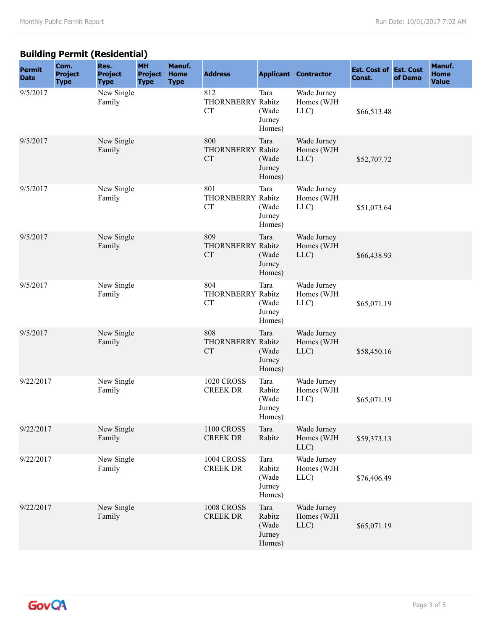## **Building Permit (Residential)**

| <b>Permit</b><br><b>Date</b> | Com.<br><b>Project</b><br><b>Type</b> | Res.<br><b>Project</b><br><b>Type</b> | <b>MH</b><br><b>Project</b><br><b>Type</b> | Manuf.<br><b>Home</b><br><b>Type</b> | <b>Address</b>                        |                                             | <b>Applicant Contractor</b>       | <b>Est. Cost of Est. Cost</b><br>Const. | of Demo | Manuf.<br><b>Home</b><br><b>Value</b> |
|------------------------------|---------------------------------------|---------------------------------------|--------------------------------------------|--------------------------------------|---------------------------------------|---------------------------------------------|-----------------------------------|-----------------------------------------|---------|---------------------------------------|
| 9/5/2017                     |                                       | New Single<br>Family                  |                                            |                                      | 812<br>THORNBERRY Rabitz<br><b>CT</b> | Tara<br>(Wade<br>Jurney<br>Homes)           | Wade Jurney<br>Homes (WJH<br>LLC) | \$66,513.48                             |         |                                       |
| 9/5/2017                     |                                       | New Single<br>Family                  |                                            |                                      | 800<br>THORNBERRY Rabitz<br><b>CT</b> | Tara<br>(Wade<br>Jurney<br>Homes)           | Wade Jurney<br>Homes (WJH<br>LLC) | \$52,707.72                             |         |                                       |
| 9/5/2017                     |                                       | New Single<br>Family                  |                                            |                                      | 801<br>THORNBERRY Rabitz<br><b>CT</b> | Tara<br>(Wade<br>Jurney<br>Homes)           | Wade Jurney<br>Homes (WJH<br>LLC) | \$51,073.64                             |         |                                       |
| 9/5/2017                     |                                       | New Single<br>Family                  |                                            |                                      | 809<br>THORNBERRY Rabitz<br><b>CT</b> | Tara<br>(Wade<br>Jurney<br>Homes)           | Wade Jurney<br>Homes (WJH<br>LLC) | \$66,438.93                             |         |                                       |
| 9/5/2017                     |                                       | New Single<br>Family                  |                                            |                                      | 804<br>THORNBERRY Rabitz<br><b>CT</b> | Tara<br>(Wade<br>Jurney<br>Homes)           | Wade Jurney<br>Homes (WJH<br>LLC) | \$65,071.19                             |         |                                       |
| 9/5/2017                     |                                       | New Single<br>Family                  |                                            |                                      | 808<br>THORNBERRY Rabitz<br><b>CT</b> | Tara<br>(Wade<br>Jurney<br>Homes)           | Wade Jurney<br>Homes (WJH<br>LLC) | \$58,450.16                             |         |                                       |
| 9/22/2017                    |                                       | New Single<br>Family                  |                                            |                                      | <b>1020 CROSS</b><br><b>CREEK DR</b>  | Tara<br>Rabitz<br>(Wade<br>Jurney<br>Homes) | Wade Jurney<br>Homes (WJH<br>LLC) | \$65,071.19                             |         |                                       |
| 9/22/2017                    |                                       | New Single<br>Family                  |                                            |                                      | <b>1100 CROSS</b><br><b>CREEK DR</b>  | Tara<br>Rabitz                              | Wade Jurney<br>Homes (WJH<br>LLC) | \$59,373.13                             |         |                                       |
| 9/22/2017                    |                                       | New Single<br>Family                  |                                            |                                      | <b>1004 CROSS</b><br><b>CREEK DR</b>  | Tara<br>Rabitz<br>(Wade<br>Jurney<br>Homes) | Wade Jurney<br>Homes (WJH<br>LLC) | \$76,406.49                             |         |                                       |
| 9/22/2017                    |                                       | New Single<br>Family                  |                                            |                                      | <b>1008 CROSS</b><br><b>CREEK DR</b>  | Tara<br>Rabitz<br>(Wade<br>Jurney<br>Homes) | Wade Jurney<br>Homes (WJH<br>LLC) | \$65,071.19                             |         |                                       |

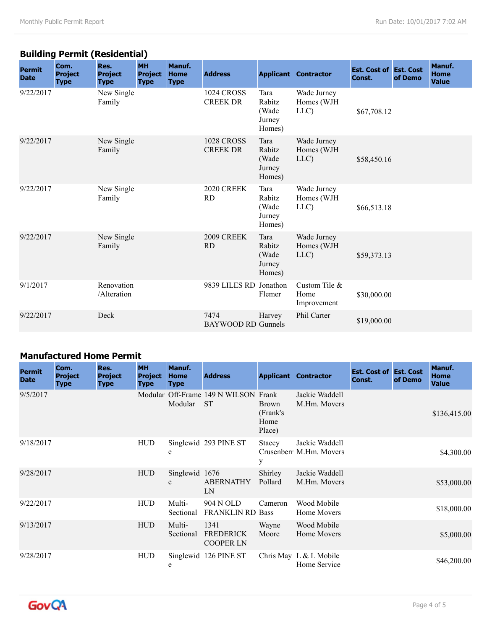## **Building Permit (Residential)**

| <b>Permit</b><br><b>Date</b> | Com.<br><b>Project</b><br><b>Type</b> | Res.<br><b>Project</b><br><b>Type</b> | <b>MH</b><br><b>Project</b><br><b>Type</b> | Manuf.<br><b>Home</b><br><b>Type</b> | <b>Address</b>                       |                                             | <b>Applicant Contractor</b>          | <b>Est. Cost of Est. Cost</b><br>Const. | of Demo | Manuf.<br><b>Home</b><br><b>Value</b> |
|------------------------------|---------------------------------------|---------------------------------------|--------------------------------------------|--------------------------------------|--------------------------------------|---------------------------------------------|--------------------------------------|-----------------------------------------|---------|---------------------------------------|
| 9/22/2017                    |                                       | New Single<br>Family                  |                                            |                                      | <b>1024 CROSS</b><br><b>CREEK DR</b> | Tara<br>Rabitz<br>(Wade<br>Jurney<br>Homes) | Wade Jurney<br>Homes (WJH<br>LLC)    | \$67,708.12                             |         |                                       |
| 9/22/2017                    |                                       | New Single<br>Family                  |                                            |                                      | <b>1028 CROSS</b><br><b>CREEK DR</b> | Tara<br>Rabitz<br>(Wade<br>Jurney<br>Homes) | Wade Jurney<br>Homes (WJH<br>LLC     | \$58,450.16                             |         |                                       |
| 9/22/2017                    |                                       | New Single<br>Family                  |                                            |                                      | 2020 CREEK<br><b>RD</b>              | Tara<br>Rabitz<br>(Wade<br>Jurney<br>Homes) | Wade Jurney<br>Homes (WJH<br>LLC)    | \$66,513.18                             |         |                                       |
| 9/22/2017                    |                                       | New Single<br>Family                  |                                            |                                      | 2009 CREEK<br><b>RD</b>              | Tara<br>Rabitz<br>(Wade<br>Jurney<br>Homes) | Wade Jurney<br>Homes (WJH<br>LLC)    | \$59,373.13                             |         |                                       |
| 9/1/2017                     |                                       | Renovation<br>/Alteration             |                                            |                                      | 9839 LILES RD Jonathon               | Flemer                                      | Custom Tile &<br>Home<br>Improvement | \$30,000.00                             |         |                                       |
| 9/22/2017                    |                                       | Deck                                  |                                            |                                      | 7474<br><b>BAYWOOD RD Gunnels</b>    | Harvey                                      | Phil Carter                          | \$19,000.00                             |         |                                       |

#### **Manufactured Home Permit**

| <b>Permit</b><br><b>Date</b> | Com.<br><b>Project</b><br><b>Type</b> | Res.<br><b>Project</b><br><b>Type</b> | <b>MH</b><br><b>Project</b><br><b>Type</b> | Manuf.<br><b>Home</b><br><b>Type</b> | <b>Address</b>                                    |                                             | <b>Applicant Contractor</b>               | <b>Est. Cost of Est. Cost</b><br>Const. | of Demo | Manuf.<br><b>Home</b><br><b>Value</b> |
|------------------------------|---------------------------------------|---------------------------------------|--------------------------------------------|--------------------------------------|---------------------------------------------------|---------------------------------------------|-------------------------------------------|-----------------------------------------|---------|---------------------------------------|
| 9/5/2017                     |                                       |                                       |                                            | Modular                              | Modular Off-Frame 149 N WILSON Frank<br><b>ST</b> | <b>Brown</b><br>(Frank's)<br>Home<br>Place) | Jackie Waddell<br>M.Hm. Movers            |                                         |         | \$136,415.00                          |
| 9/18/2017                    |                                       |                                       | <b>HUD</b>                                 | e                                    | Singlewid 293 PINE ST                             | Stacey<br>У                                 | Jackie Waddell<br>Crusenberr M.Hm. Movers |                                         |         | \$4,300.00                            |
| 9/28/2017                    |                                       |                                       | <b>HUD</b>                                 | Singlewid 1676<br>e                  | <b>ABERNATHY</b><br>LN                            | Shirley<br>Pollard                          | Jackie Waddell<br>M.Hm. Movers            |                                         |         | \$53,000.00                           |
| 9/22/2017                    |                                       |                                       | <b>HUD</b>                                 | Multi-<br>Sectional                  | 904 N OLD<br><b>FRANKLIN RD Bass</b>              | Cameron                                     | Wood Mobile<br>Home Movers                |                                         |         | \$18,000.00                           |
| 9/13/2017                    |                                       |                                       | <b>HUD</b>                                 | Multi-<br>Sectional                  | 1341<br><b>FREDERICK</b><br><b>COOPER LN</b>      | Wayne<br>Moore                              | Wood Mobile<br>Home Movers                |                                         |         | \$5,000.00                            |
| 9/28/2017                    |                                       |                                       | <b>HUD</b>                                 | e                                    | Singlewid 126 PINE ST                             |                                             | Chris May L & L Mobile<br>Home Service    |                                         |         | \$46,200.00                           |